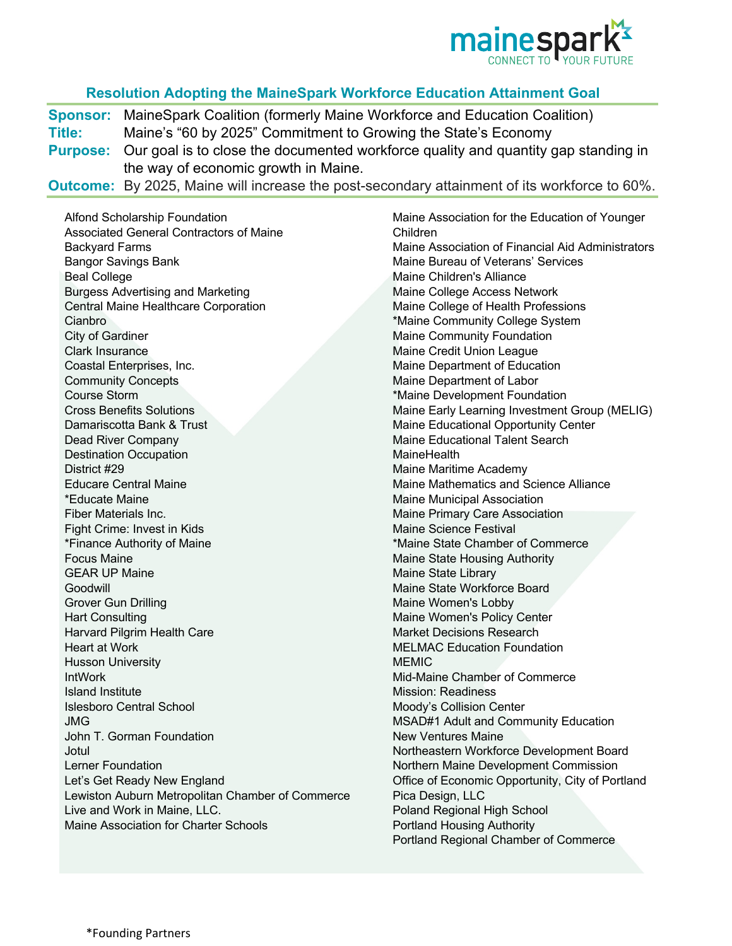

## **Resolution Adopting the MaineSpark Workforce Education Attainment Goal**

**Sponsor:** MaineSpark Coalition (formerly Maine Workforce and Education Coalition) **Title:** Maine's "60 by 2025" Commitment to Growing the State's Economy **Purpose:** Our goal is to close the documented workforce quality and quantity gap standing in the way of economic growth in Maine.

**Outcome:** By 2025, Maine will increase the post-secondary attainment of its workforce to 60%.

Alfond Scholarship Foundation Associated General Contractors of Maine Backyard Farms Bangor Savings Bank Beal College Burgess Advertising and Marketing Central Maine Healthcare Corporation Cianbro City of Gardiner Clark Insurance Coastal Enterprises, Inc. Community Concepts Course Storm Cross Benefits Solutions Damariscotta Bank & Trust Dead River Company Destination Occupation District #29 Educare Central Maine \*Educate Maine Fiber Materials Inc. Fight Crime: Invest in Kids \*Finance Authority of Maine Focus Maine GEAR UP Maine Goodwill Grover Gun Drilling Hart Consulting Harvard Pilgrim Health Care Heart at Work Husson University IntWork Island Institute Islesboro Central School JMG John T. Gorman Foundation **Jotul** Lerner Foundation Let's Get Ready New England Lewiston Auburn Metropolitan Chamber of Commerce Live and Work in Maine, LLC. Maine Association for Charter Schools

Maine Association for the Education of Younger Children Maine Association of Financial Aid Administrators Maine Bureau of Veterans' Services Maine Children's Alliance Maine College Access Network Maine College of Health Professions \*Maine Community College System Maine Community Foundation Maine Credit Union League Maine Department of Education Maine Department of Labor \*Maine Development Foundation Maine Early Learning Investment Group (MELIG) Maine Educational Opportunity Center Maine Educational Talent Search **MaineHealth** Maine Maritime Academy Maine Mathematics and Science Alliance Maine Municipal Association Maine Primary Care Association Maine Science Festival \*Maine State Chamber of Commerce Maine State Housing Authority Maine State Library Maine State Workforce Board Maine Women's Lobby Maine Women's Policy Center Market Decisions Research MELMAC Education Foundation **MEMIC** Mid-Maine Chamber of Commerce Mission: Readiness Moody's Collision Center MSAD#1 Adult and Community Education New Ventures Maine Northeastern Workforce Development Board Northern Maine Development Commission Office of Economic Opportunity, City of Portland Pica Design, LLC Poland Regional High School Portland Housing Authority Portland Regional Chamber of Commerce